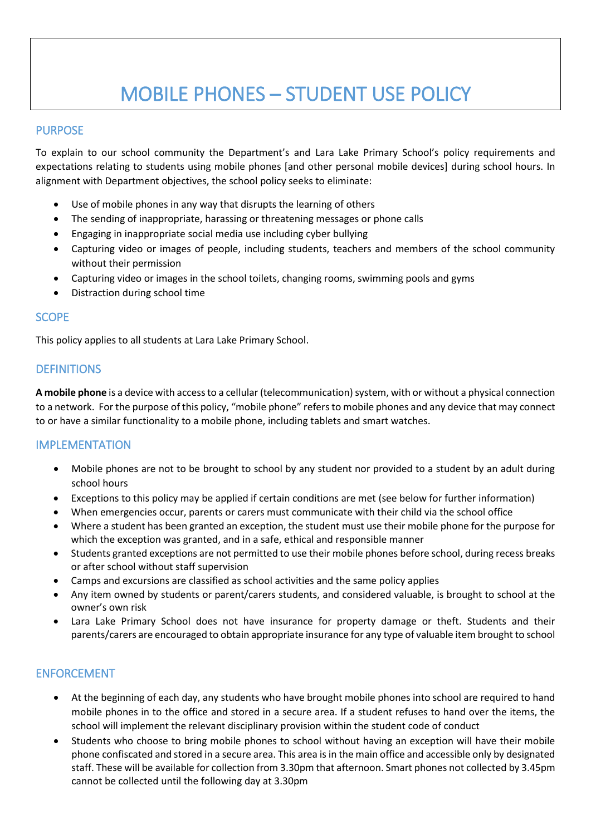# MOBILE PHONES – STUDENT USE POLICY

## PURPOSE

To explain to our school community the Department's and Lara Lake Primary School's policy requirements and expectations relating to students using mobile phones [and other personal mobile devices] during school hours. In alignment with Department objectives, the school policy seeks to eliminate:

- Use of mobile phones in any way that disrupts the learning of others
- The sending of inappropriate, harassing or threatening messages or phone calls
- Engaging in inappropriate social media use including cyber bullying
- Capturing video or images of people, including students, teachers and members of the school community without their permission
- Capturing video or images in the school toilets, changing rooms, swimming pools and gyms
- Distraction during school time

# **SCOPE**

This policy applies to all students at Lara Lake Primary School.

# **DEFINITIONS**

**A mobile phone** is a device with access to a cellular (telecommunication) system, with or without a physical connection to a network. For the purpose of this policy, "mobile phone" refers to mobile phones and any device that may connect to or have a similar functionality to a mobile phone, including tablets and smart watches.

# IMPLEMENTATION

- Mobile phones are not to be brought to school by any student nor provided to a student by an adult during school hours
- Exceptions to this policy may be applied if certain conditions are met (see below for further information)
- When emergencies occur, parents or carers must communicate with their child via the school office
- Where a student has been granted an exception, the student must use their mobile phone for the purpose for which the exception was granted, and in a safe, ethical and responsible manner
- Students granted exceptions are not permitted to use their mobile phones before school, during recess breaks or after school without staff supervision
- Camps and excursions are classified as school activities and the same policy applies
- Any item owned by students or parent/carers students, and considered valuable, is brought to school at the owner's own risk
- Lara Lake Primary School does not have insurance for property damage or theft. Students and their parents/carers are encouraged to obtain appropriate insurance for any type of valuable item brought to school

# ENFORCEMENT

- At the beginning of each day, any students who have brought mobile phones into school are required to hand mobile phones in to the office and stored in a secure area. If a student refuses to hand over the items, the school will implement the relevant disciplinary provision within the student code of conduct
- Students who choose to bring mobile phones to school without having an exception will have their mobile phone confiscated and stored in a secure area. This area is in the main office and accessible only by designated staff. These will be available for collection from 3.30pm that afternoon. Smart phones not collected by 3.45pm cannot be collected until the following day at 3.30pm